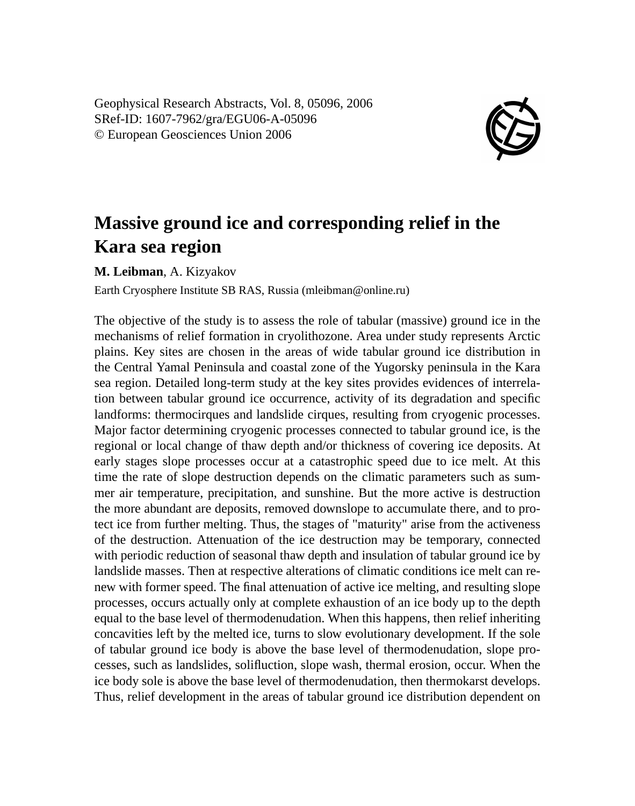Geophysical Research Abstracts, Vol. 8, 05096, 2006 SRef-ID: 1607-7962/gra/EGU06-A-05096 © European Geosciences Union 2006



## **Massive ground ice and corresponding relief in the Kara sea region**

**M. Leibman**, A. Kizyakov

Earth Cryosphere Institute SB RAS, Russia (mleibman@online.ru)

The objective of the study is to assess the role of tabular (massive) ground ice in the mechanisms of relief formation in cryolithozone. Area under study represents Arctic plains. Key sites are chosen in the areas of wide tabular ground ice distribution in the Central Yamal Peninsula and coastal zone of the Yugorsky peninsula in the Kara sea region. Detailed long-term study at the key sites provides evidences of interrelation between tabular ground ice occurrence, activity of its degradation and specific landforms: thermocirques and landslide cirques, resulting from cryogenic processes. Major factor determining cryogenic processes connected to tabular ground ice, is the regional or local change of thaw depth and/or thickness of covering ice deposits. At early stages slope processes occur at a catastrophic speed due to ice melt. At this time the rate of slope destruction depends on the climatic parameters such as summer air temperature, precipitation, and sunshine. But the more active is destruction the more abundant are deposits, removed downslope to accumulate there, and to protect ice from further melting. Thus, the stages of "maturity" arise from the activeness of the destruction. Attenuation of the ice destruction may be temporary, connected with periodic reduction of seasonal thaw depth and insulation of tabular ground ice by landslide masses. Then at respective alterations of climatic conditions ice melt can renew with former speed. The final attenuation of active ice melting, and resulting slope processes, occurs actually only at complete exhaustion of an ice body up to the depth equal to the base level of thermodenudation. When this happens, then relief inheriting concavities left by the melted ice, turns to slow evolutionary development. If the sole of tabular ground ice body is above the base level of thermodenudation, slope processes, such as landslides, solifluction, slope wash, thermal erosion, occur. When the ice body sole is above the base level of thermodenudation, then thermokarst develops. Thus, relief development in the areas of tabular ground ice distribution dependent on